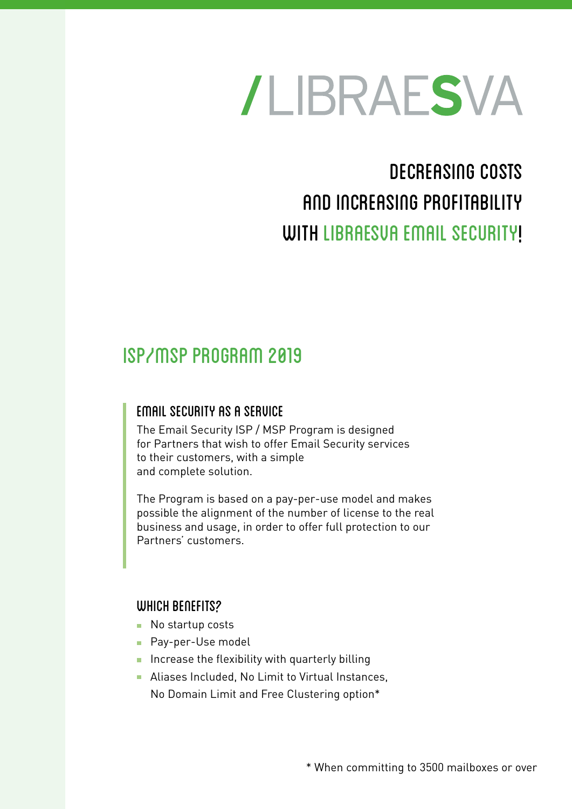

## Decreasing costs and increasing profitability WITH LIBRAESUA EMAIL SECURITY!

### ISP/MSP PROGRAM 2019

#### EMAIL SECURITY AS A SERVICE

The Email Security ISP / MSP Program is designed for Partners that wish to offer Email Security services to their customers, with a simple and complete solution.

The Program is based on a pay-per-use model and makes possible the alignment of the number of license to the real business and usage, in order to offer full protection to our Partners' customers.

#### WHICH BENEFITS?

- No startup costs
- Pay-per-Use model
- Increase the flexibility with quarterly billing
- **Aliases Included, No Limit to Virtual Instances,** No Domain Limit and Free Clustering option\*